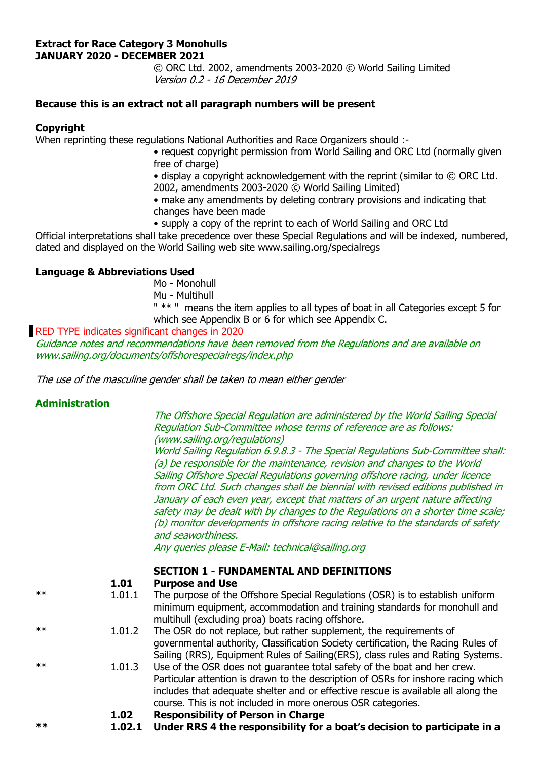#### **Extract for Race Category 3 Monohulls JANUARY 2020 - DECEMBER 2021**

 © ORC Ltd. 2002, amendments 2003-2020 © World Sailing Limited Version 0.2 - 16 December 2019

# **Because this is an extract not all paragraph numbers will be present**

### **Copyright**

When reprinting these regulations National Authorities and Race Organizers should :-

• request copyright permission from World Sailing and ORC Ltd (normally given free of charge)

 • display a copyright acknowledgement with the reprint (similar to © ORC Ltd. 2002, amendments 2003-2020 © World Sailing Limited)

 • make any amendments by deleting contrary provisions and indicating that changes have been made

• supply a copy of the reprint to each of World Sailing and ORC Ltd

Official interpretations shall take precedence over these Special Regulations and will be indexed, numbered, dated and displayed on the World Sailing web site www.sailing.org/specialregs

# **Language & Abbreviations Used**

Mo - Monohull

Mu - Multihull

 " \*\* " means the item applies to all types of boat in all Categories except 5 for which see Appendix B or 6 for which see Appendix C.

### RED TYPE indicates significant changes in 2020

Guidance notes and recommendations have been removed from the Regulations and are available on www.sailing.org/documents/offshorespecialregs/index.php

The use of the masculine gender shall be taken to mean either gender

# **Administration**

 The Offshore Special Regulation are administered by the World Sailing Special Regulation Sub-Committee whose terms of reference are as follows: (www.sailing.org/regulations)

World Sailing Regulation 6.9.8.3 - The Special Regulations Sub-Committee shall: (a) be responsible for the maintenance, revision and changes to the World Sailing Offshore Special Regulations governing offshore racing, under licence from ORC Ltd. Such changes shall be biennial with revised editions published in January of each even year, except that matters of an urgent nature affecting safety may be dealt with by changes to the Regulations on a shorter time scale; (b) monitor developments in offshore racing relative to the standards of safety and seaworthiness.

Any queries please E-Mail: technical@sailing.org

# **SECTION 1 - FUNDAMENTAL AND DEFINITIONS**

| 1.01 | <b>Purpose and Use</b> |
|------|------------------------|
|------|------------------------|

- \*\* 1.01.1 The purpose of the Offshore Special Regulations (OSR) is to establish uniform minimum equipment, accommodation and training standards for monohull and multihull (excluding proa) boats racing offshore.
- \*\* 1.01.2 The OSR do not replace, but rather supplement, the requirements of governmental authority, Classification Society certification, the Racing Rules of Sailing (RRS), Equipment Rules of Sailing(ERS), class rules and Rating Systems.
- \*\* 1.01.3 Use of the OSR does not guarantee total safety of the boat and her crew. Particular attention is drawn to the description of OSRs for inshore racing which includes that adequate shelter and or effective rescue is available all along the course. This is not included in more onerous OSR categories.
	- **1.02 Responsibility of Person in Charge**
- **\*\* 1.02.1 Under RRS 4 the responsibility for a boat's decision to participate in a**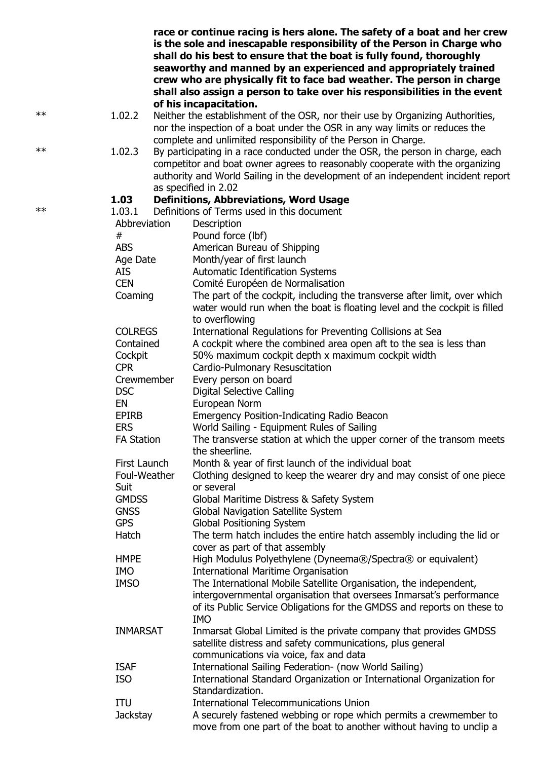|            |                   | race or continue racing is hers alone. The safety of a boat and her crew<br>is the sole and inescapable responsibility of the Person in Charge who<br>shall do his best to ensure that the boat is fully found, thoroughly<br>seaworthy and manned by an experienced and appropriately trained<br>crew who are physically fit to face bad weather. The person in charge<br>shall also assign a person to take over his responsibilities in the event |
|------------|-------------------|------------------------------------------------------------------------------------------------------------------------------------------------------------------------------------------------------------------------------------------------------------------------------------------------------------------------------------------------------------------------------------------------------------------------------------------------------|
| $\ast\ast$ | 1.02.2            | of his incapacitation.<br>Neither the establishment of the OSR, nor their use by Organizing Authorities,<br>nor the inspection of a boat under the OSR in any way limits or reduces the                                                                                                                                                                                                                                                              |
| $**$       | 1.02.3            | complete and unlimited responsibility of the Person in Charge.<br>By participating in a race conducted under the OSR, the person in charge, each<br>competitor and boat owner agrees to reasonably cooperate with the organizing<br>authority and World Sailing in the development of an independent incident report<br>as specified in 2.02                                                                                                         |
|            |                   |                                                                                                                                                                                                                                                                                                                                                                                                                                                      |
| $\ast\ast$ | 1.03              | <b>Definitions, Abbreviations, Word Usage</b>                                                                                                                                                                                                                                                                                                                                                                                                        |
|            | 1.03.1            | Definitions of Terms used in this document                                                                                                                                                                                                                                                                                                                                                                                                           |
|            | Abbreviation      | Description                                                                                                                                                                                                                                                                                                                                                                                                                                          |
|            | #                 | Pound force (lbf)                                                                                                                                                                                                                                                                                                                                                                                                                                    |
|            | <b>ABS</b>        | American Bureau of Shipping                                                                                                                                                                                                                                                                                                                                                                                                                          |
|            | Age Date          | Month/year of first launch                                                                                                                                                                                                                                                                                                                                                                                                                           |
|            | <b>AIS</b>        | <b>Automatic Identification Systems</b>                                                                                                                                                                                                                                                                                                                                                                                                              |
|            | <b>CEN</b>        | Comité Européen de Normalisation                                                                                                                                                                                                                                                                                                                                                                                                                     |
|            | Coaming           | The part of the cockpit, including the transverse after limit, over which<br>water would run when the boat is floating level and the cockpit is filled<br>to overflowing                                                                                                                                                                                                                                                                             |
|            | <b>COLREGS</b>    | International Regulations for Preventing Collisions at Sea                                                                                                                                                                                                                                                                                                                                                                                           |
|            | Contained         | A cockpit where the combined area open aft to the sea is less than                                                                                                                                                                                                                                                                                                                                                                                   |
|            | Cockpit           | 50% maximum cockpit depth x maximum cockpit width                                                                                                                                                                                                                                                                                                                                                                                                    |
|            | <b>CPR</b>        | Cardio-Pulmonary Resuscitation                                                                                                                                                                                                                                                                                                                                                                                                                       |
|            | Crewmember        | Every person on board                                                                                                                                                                                                                                                                                                                                                                                                                                |
|            | <b>DSC</b>        | <b>Digital Selective Calling</b>                                                                                                                                                                                                                                                                                                                                                                                                                     |
|            | EN                | European Norm                                                                                                                                                                                                                                                                                                                                                                                                                                        |
|            | <b>EPIRB</b>      | <b>Emergency Position-Indicating Radio Beacon</b>                                                                                                                                                                                                                                                                                                                                                                                                    |
|            | <b>ERS</b>        | World Sailing - Equipment Rules of Sailing                                                                                                                                                                                                                                                                                                                                                                                                           |
|            | <b>FA Station</b> | The transverse station at which the upper corner of the transom meets<br>the sheerline.                                                                                                                                                                                                                                                                                                                                                              |
|            | First Launch      | Month & year of first launch of the individual boat                                                                                                                                                                                                                                                                                                                                                                                                  |
|            | Foul-Weather      | Clothing designed to keep the wearer dry and may consist of one piece                                                                                                                                                                                                                                                                                                                                                                                |
|            | Suit              | or several                                                                                                                                                                                                                                                                                                                                                                                                                                           |
|            | <b>GMDSS</b>      | Global Maritime Distress & Safety System                                                                                                                                                                                                                                                                                                                                                                                                             |
|            | <b>GNSS</b>       | Global Navigation Satellite System                                                                                                                                                                                                                                                                                                                                                                                                                   |
|            | <b>GPS</b>        | <b>Global Positioning System</b>                                                                                                                                                                                                                                                                                                                                                                                                                     |
|            | Hatch             | The term hatch includes the entire hatch assembly including the lid or<br>cover as part of that assembly                                                                                                                                                                                                                                                                                                                                             |
|            | <b>HMPE</b>       | High Modulus Polyethylene (Dyneema®/Spectra® or equivalent)                                                                                                                                                                                                                                                                                                                                                                                          |
|            | <b>IMO</b>        | <b>International Maritime Organisation</b>                                                                                                                                                                                                                                                                                                                                                                                                           |
|            | <b>IMSO</b>       | The International Mobile Satellite Organisation, the independent,<br>intergovernmental organisation that oversees Inmarsat's performance                                                                                                                                                                                                                                                                                                             |
|            | <b>INMARSAT</b>   | of its Public Service Obligations for the GMDSS and reports on these to<br><b>IMO</b><br>Inmarsat Global Limited is the private company that provides GMDSS                                                                                                                                                                                                                                                                                          |
|            |                   | satellite distress and safety communications, plus general<br>communications via voice, fax and data                                                                                                                                                                                                                                                                                                                                                 |
|            | <b>ISAF</b>       | International Sailing Federation- (now World Sailing)                                                                                                                                                                                                                                                                                                                                                                                                |
|            | <b>ISO</b>        | International Standard Organization or International Organization for<br>Standardization.                                                                                                                                                                                                                                                                                                                                                            |
|            | ITU               | <b>International Telecommunications Union</b>                                                                                                                                                                                                                                                                                                                                                                                                        |
|            | <b>Jackstay</b>   | A securely fastened webbing or rope which permits a crewmember to<br>move from one part of the boat to another without having to unclip a                                                                                                                                                                                                                                                                                                            |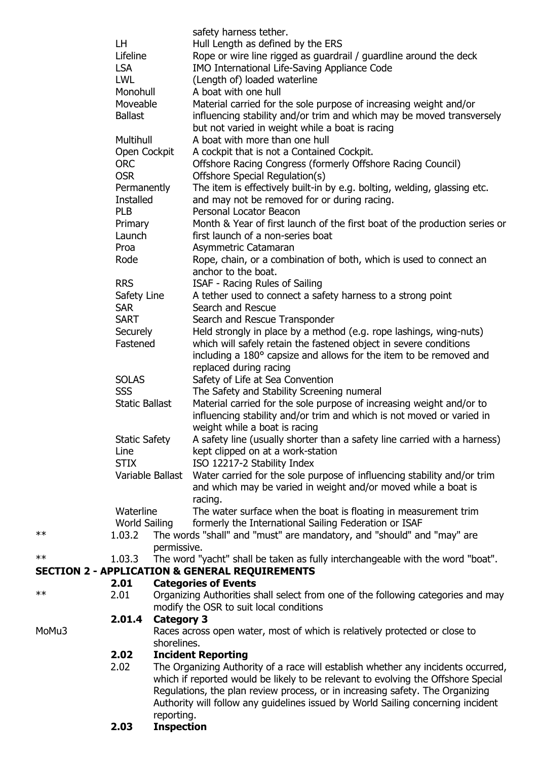|            |                                        |                   | safety harness tether.                                                                                                                  |  |  |  |
|------------|----------------------------------------|-------------------|-----------------------------------------------------------------------------------------------------------------------------------------|--|--|--|
|            | LH                                     |                   | Hull Length as defined by the ERS                                                                                                       |  |  |  |
|            | Lifeline                               |                   | Rope or wire line rigged as guardrail / guardline around the deck                                                                       |  |  |  |
|            | <b>LSA</b>                             |                   | IMO International Life-Saving Appliance Code                                                                                            |  |  |  |
|            | LWL                                    |                   | (Length of) loaded waterline<br>A boat with one hull                                                                                    |  |  |  |
|            | Monohull<br>Moveable<br><b>Ballast</b> |                   | Material carried for the sole purpose of increasing weight and/or                                                                       |  |  |  |
|            |                                        |                   | influencing stability and/or trim and which may be moved transversely                                                                   |  |  |  |
|            |                                        |                   | but not varied in weight while a boat is racing                                                                                         |  |  |  |
|            | Multihull                              |                   | A boat with more than one hull                                                                                                          |  |  |  |
|            | Open Cockpit                           |                   | A cockpit that is not a Contained Cockpit.                                                                                              |  |  |  |
|            | <b>ORC</b>                             |                   | Offshore Racing Congress (formerly Offshore Racing Council)                                                                             |  |  |  |
|            | <b>OSR</b>                             |                   | Offshore Special Regulation(s)                                                                                                          |  |  |  |
|            | Permanently                            |                   | The item is effectively built-in by e.g. bolting, welding, glassing etc.                                                                |  |  |  |
|            | <b>Installed</b>                       |                   | and may not be removed for or during racing.                                                                                            |  |  |  |
|            | <b>PLB</b>                             |                   | Personal Locator Beacon                                                                                                                 |  |  |  |
|            | Primary                                |                   | Month & Year of first launch of the first boat of the production series or                                                              |  |  |  |
|            | Launch                                 |                   | first launch of a non-series boat                                                                                                       |  |  |  |
|            | Proa                                   |                   | Asymmetric Catamaran                                                                                                                    |  |  |  |
|            | Rode                                   |                   | Rope, chain, or a combination of both, which is used to connect an                                                                      |  |  |  |
|            |                                        |                   | anchor to the boat.                                                                                                                     |  |  |  |
|            | <b>RRS</b>                             |                   | ISAF - Racing Rules of Sailing                                                                                                          |  |  |  |
|            | Safety Line                            |                   | A tether used to connect a safety harness to a strong point                                                                             |  |  |  |
|            | <b>SAR</b>                             |                   | Search and Rescue                                                                                                                       |  |  |  |
|            | <b>SART</b>                            |                   | Search and Rescue Transponder                                                                                                           |  |  |  |
|            | Securely                               |                   | Held strongly in place by a method (e.g. rope lashings, wing-nuts)                                                                      |  |  |  |
|            | Fastened                               |                   | which will safely retain the fastened object in severe conditions<br>including a 180° capsize and allows for the item to be removed and |  |  |  |
|            |                                        |                   | replaced during racing                                                                                                                  |  |  |  |
|            | <b>SOLAS</b>                           |                   | Safety of Life at Sea Convention                                                                                                        |  |  |  |
|            | <b>SSS</b>                             |                   | The Safety and Stability Screening numeral                                                                                              |  |  |  |
|            | <b>Static Ballast</b>                  |                   | Material carried for the sole purpose of increasing weight and/or to                                                                    |  |  |  |
|            |                                        |                   | influencing stability and/or trim and which is not moved or varied in                                                                   |  |  |  |
|            |                                        |                   | weight while a boat is racing                                                                                                           |  |  |  |
|            | <b>Static Safety</b>                   |                   | A safety line (usually shorter than a safety line carried with a harness)                                                               |  |  |  |
|            | Line                                   |                   | kept clipped on at a work-station                                                                                                       |  |  |  |
|            | <b>STIX</b>                            |                   | ISO 12217-2 Stability Index                                                                                                             |  |  |  |
|            |                                        | Variable Ballast  | Water carried for the sole purpose of influencing stability and/or trim                                                                 |  |  |  |
|            |                                        |                   | and which may be varied in weight and/or moved while a boat is                                                                          |  |  |  |
|            |                                        |                   | racing.                                                                                                                                 |  |  |  |
|            | Waterline                              |                   | The water surface when the boat is floating in measurement trim                                                                         |  |  |  |
| $\ast\ast$ | <b>World Sailing</b><br>1.03.2         |                   | formerly the International Sailing Federation or ISAF                                                                                   |  |  |  |
|            |                                        | permissive.       | The words "shall" and "must" are mandatory, and "should" and "may" are                                                                  |  |  |  |
| $\ast\ast$ | 1.03.3                                 |                   | The word "yacht" shall be taken as fully interchangeable with the word "boat".                                                          |  |  |  |
|            |                                        |                   | <b>SECTION 2 - APPLICATION &amp; GENERAL REQUIREMENTS</b>                                                                               |  |  |  |
|            | 2.01                                   |                   | <b>Categories of Events</b>                                                                                                             |  |  |  |
| $\ast\ast$ | 2.01                                   |                   | Organizing Authorities shall select from one of the following categories and may                                                        |  |  |  |
|            |                                        |                   | modify the OSR to suit local conditions                                                                                                 |  |  |  |
|            | 2.01.4                                 | <b>Category 3</b> |                                                                                                                                         |  |  |  |
| MoMu3      |                                        |                   | Races across open water, most of which is relatively protected or close to                                                              |  |  |  |
|            |                                        | shorelines.       |                                                                                                                                         |  |  |  |
|            | 2.02                                   |                   | <b>Incident Reporting</b>                                                                                                               |  |  |  |
|            | 2.02                                   |                   | The Organizing Authority of a race will establish whether any incidents occurred,                                                       |  |  |  |
|            |                                        |                   | which if reported would be likely to be relevant to evolving the Offshore Special                                                       |  |  |  |
|            |                                        |                   | Regulations, the plan review process, or in increasing safety. The Organizing                                                           |  |  |  |
|            |                                        |                   | Authority will follow any guidelines issued by World Sailing concerning incident                                                        |  |  |  |
|            | 2.03                                   | reporting.        |                                                                                                                                         |  |  |  |
|            |                                        | <b>Inspection</b> |                                                                                                                                         |  |  |  |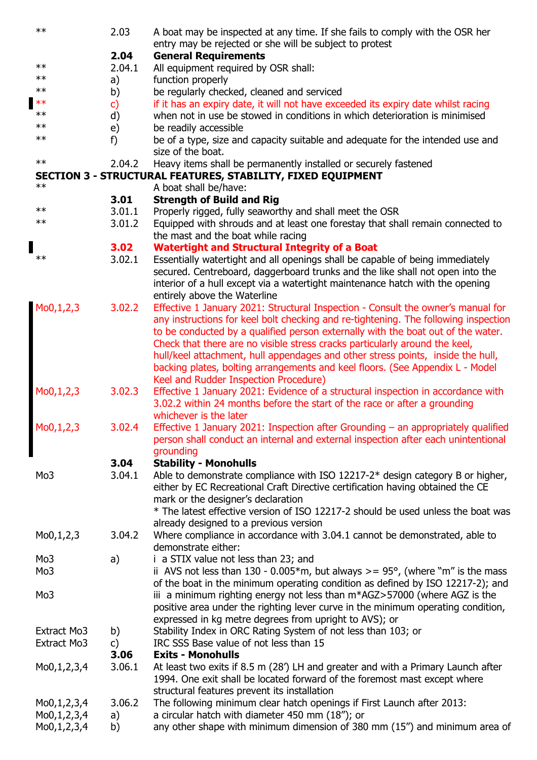| $**$                       | 2.03       | A boat may be inspected at any time. If she fails to comply with the OSR her<br>entry may be rejected or she will be subject to protest                         |
|----------------------------|------------|-----------------------------------------------------------------------------------------------------------------------------------------------------------------|
|                            | 2.04       | <b>General Requirements</b>                                                                                                                                     |
| $\ast\ast$                 | 2.04.1     | All equipment required by OSR shall:                                                                                                                            |
| **                         | a)         | function properly                                                                                                                                               |
| $**$                       | b)         | be regularly checked, cleaned and serviced                                                                                                                      |
| $**$                       | c)         | if it has an expiry date, it will not have exceeded its expiry date whilst racing                                                                               |
| $***$                      | d)         | when not in use be stowed in conditions in which deterioration is minimised                                                                                     |
| $\ast\ast$                 | e)         | be readily accessible                                                                                                                                           |
| $\ast\ast$                 | f)         | be of a type, size and capacity suitable and adequate for the intended use and                                                                                  |
|                            |            | size of the boat.                                                                                                                                               |
| $\ast\ast$                 | 2.04.2     | Heavy items shall be permanently installed or securely fastened                                                                                                 |
|                            |            | SECTION 3 - STRUCTURAL FEATURES, STABILITY, FIXED EQUIPMENT                                                                                                     |
| $**$                       |            | A boat shall be/have:                                                                                                                                           |
|                            | 3.01       | <b>Strength of Build and Rig</b>                                                                                                                                |
| $***$                      | 3.01.1     | Properly rigged, fully seaworthy and shall meet the OSR                                                                                                         |
| $\ast\ast$                 | 3.01.2     | Equipped with shrouds and at least one forestay that shall remain connected to                                                                                  |
|                            |            | the mast and the boat while racing                                                                                                                              |
|                            | 3.02       | <b>Watertight and Structural Integrity of a Boat</b>                                                                                                            |
| $\ast\ast$                 | 3.02.1     | Essentially watertight and all openings shall be capable of being immediately                                                                                   |
|                            |            | secured. Centreboard, daggerboard trunks and the like shall not open into the                                                                                   |
|                            |            | interior of a hull except via a watertight maintenance hatch with the opening                                                                                   |
|                            |            | entirely above the Waterline                                                                                                                                    |
| Mo0,1,2,3                  | 3.02.2     | Effective 1 January 2021: Structural Inspection - Consult the owner's manual for                                                                                |
|                            |            | any instructions for keel bolt checking and re-tightening. The following inspection                                                                             |
|                            |            | to be conducted by a qualified person externally with the boat out of the water.<br>Check that there are no visible stress cracks particularly around the keel, |
|                            |            | hull/keel attachment, hull appendages and other stress points, inside the hull,                                                                                 |
|                            |            | backing plates, bolting arrangements and keel floors. (See Appendix L - Model                                                                                   |
|                            |            | Keel and Rudder Inspection Procedure)                                                                                                                           |
| Mo0,1,2,3                  | 3.02.3     | Effective 1 January 2021: Evidence of a structural inspection in accordance with                                                                                |
|                            |            | 3.02.2 within 24 months before the start of the race or after a grounding                                                                                       |
|                            |            | whichever is the later                                                                                                                                          |
| Mo0,1,2,3                  | 3.02.4     | Effective 1 January 2021: Inspection after Grounding - an appropriately qualified                                                                               |
|                            |            | person shall conduct an internal and external inspection after each unintentional                                                                               |
|                            |            | grounding                                                                                                                                                       |
|                            | 3.04       | <b>Stability - Monohulls</b>                                                                                                                                    |
| Mo <sub>3</sub>            | 3.04.1     | Able to demonstrate compliance with ISO 12217-2* design category B or higher,                                                                                   |
|                            |            | either by EC Recreational Craft Directive certification having obtained the CE                                                                                  |
|                            |            | mark or the designer's declaration                                                                                                                              |
|                            |            | * The latest effective version of ISO 12217-2 should be used unless the boat was                                                                                |
|                            |            | already designed to a previous version                                                                                                                          |
| Mo0,1,2,3                  | 3.04.2     | Where compliance in accordance with 3.04.1 cannot be demonstrated, able to                                                                                      |
|                            |            | demonstrate either:                                                                                                                                             |
| Mo3                        | a)         | i a STIX value not less than 23; and                                                                                                                            |
| Mo <sub>3</sub>            |            | ii AVS not less than $130 - 0.005*$ m, but always >= $95^{\circ}$ , (where "m" is the mass                                                                      |
|                            |            | of the boat in the minimum operating condition as defined by ISO 12217-2); and                                                                                  |
| Mo <sub>3</sub>            |            | iii a minimum righting energy not less than m*AGZ>57000 (where AGZ is the                                                                                       |
|                            |            | positive area under the righting lever curve in the minimum operating condition,                                                                                |
|                            |            | expressed in kg metre degrees from upright to AVS); or                                                                                                          |
| Extract Mo3<br>Extract Mo3 | b)         | Stability Index in ORC Rating System of not less than 103; or<br>IRC SSS Base value of not less than 15                                                         |
|                            | c)<br>3.06 | <b>Exits - Monohulls</b>                                                                                                                                        |
|                            | 3.06.1     | At least two exits if 8.5 m (28') LH and greater and with a Primary Launch after                                                                                |
| Mo0,1,2,3,4                |            | 1994. One exit shall be located forward of the foremost mast except where                                                                                       |
|                            |            | structural features prevent its installation                                                                                                                    |
| Mo0,1,2,3,4                | 3.06.2     | The following minimum clear hatch openings if First Launch after 2013:                                                                                          |
| Mo0,1,2,3,4                | a)         | a circular hatch with diameter 450 mm (18"); or                                                                                                                 |
| Mo0,1,2,3,4                | b)         | any other shape with minimum dimension of 380 mm (15") and minimum area of                                                                                      |
|                            |            |                                                                                                                                                                 |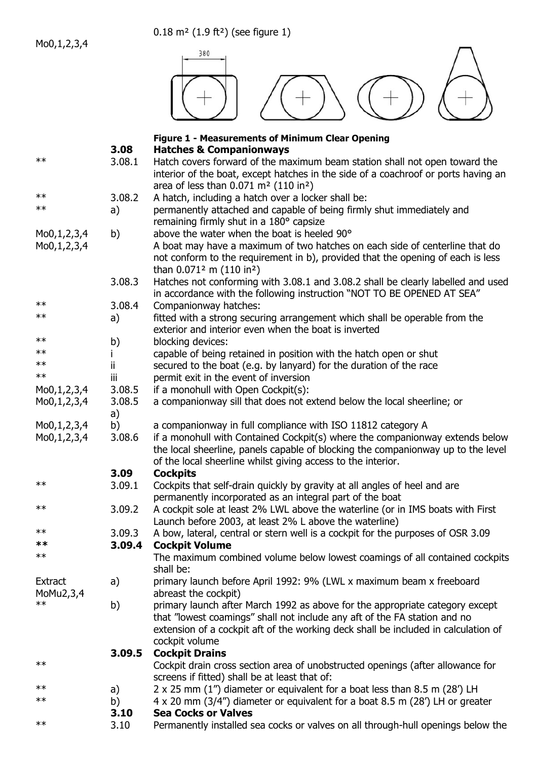Mo0,1,2,3,4

0.18 m² (1.9 ft²) (see figure 1)



# **Figure 1 - Measurements of Minimum Clear Opening 3.08 Hatches & Companionways**

| $**$        | 3.08.1 |                                                                                    |
|-------------|--------|------------------------------------------------------------------------------------|
|             |        | Hatch covers forward of the maximum beam station shall not open toward the         |
|             |        | interior of the boat, except hatches in the side of a coachroof or ports having an |
| $\ast\ast$  |        | area of less than $0.071$ m <sup>2</sup> (110 in <sup>2</sup> )                    |
|             | 3.08.2 | A hatch, including a hatch over a locker shall be:                                 |
| $\ast\ast$  | a)     | permanently attached and capable of being firmly shut immediately and              |
|             |        | remaining firmly shut in a 180° capsize                                            |
| Mo0,1,2,3,4 | b)     | above the water when the boat is heeled 90°                                        |
| Mo0,1,2,3,4 |        | A boat may have a maximum of two hatches on each side of centerline that do        |
|             |        | not conform to the requirement in b), provided that the opening of each is less    |
|             |        | than $0.071^2$ m (110 in <sup>2</sup> )                                            |
|             | 3.08.3 | Hatches not conforming with 3.08.1 and 3.08.2 shall be clearly labelled and used   |
|             |        | in accordance with the following instruction "NOT TO BE OPENED AT SEA"             |
| $\ast\ast$  | 3.08.4 | Companionway hatches:                                                              |
| $\ast\ast$  | a)     | fitted with a strong securing arrangement which shall be operable from the         |
|             |        | exterior and interior even when the boat is inverted                               |
| $\ast\ast$  | b)     | blocking devices:                                                                  |
| $\ast\ast$  |        | capable of being retained in position with the hatch open or shut                  |
| $\ast\ast$  | ii.    | secured to the boat (e.g. by lanyard) for the duration of the race                 |
| $\ast\ast$  | iii    | permit exit in the event of inversion                                              |
| Mo0,1,2,3,4 | 3.08.5 | if a monohull with Open Cockpit(s):                                                |
| Mo0,1,2,3,4 | 3.08.5 | a companionway sill that does not extend below the local sheerline; or             |
|             | a)     |                                                                                    |
| Mo0,1,2,3,4 | b)     | a companionway in full compliance with ISO 11812 category A                        |
| Mo0,1,2,3,4 | 3.08.6 | if a monohull with Contained Cockpit(s) where the companionway extends below       |
|             |        | the local sheerline, panels capable of blocking the companionway up to the level   |
|             |        | of the local sheerline whilst giving access to the interior.                       |
|             | 3.09   | <b>Cockpits</b>                                                                    |
| $\ast\ast$  | 3.09.1 | Cockpits that self-drain quickly by gravity at all angles of heel and are          |
|             |        | permanently incorporated as an integral part of the boat                           |
| $\ast\ast$  | 3.09.2 | A cockpit sole at least 2% LWL above the waterline (or in IMS boats with First     |
|             |        | Launch before 2003, at least 2% L above the waterline)                             |
| $\ast\ast$  | 3.09.3 | A bow, lateral, central or stern well is a cockpit for the purposes of OSR 3.09    |
| **          | 3.09.4 | <b>Cockpit Volume</b>                                                              |
| $***$       |        | The maximum combined volume below lowest coamings of all contained cockpits        |
|             |        | shall be:                                                                          |
| Extract     | a)     | primary launch before April 1992: 9% (LWL x maximum beam x freeboard               |
| MoMu2,3,4   |        | abreast the cockpit)                                                               |
| $***$       | b)     | primary launch after March 1992 as above for the appropriate category except       |
|             |        | that "lowest coamings" shall not include any aft of the FA station and no          |
|             |        | extension of a cockpit aft of the working deck shall be included in calculation of |
|             |        | cockpit volume                                                                     |
|             | 3.09.5 | <b>Cockpit Drains</b>                                                              |
| $\ast\ast$  |        | Cockpit drain cross section area of unobstructed openings (after allowance for     |
|             |        | screens if fitted) shall be at least that of:                                      |
| $\ast\ast$  | a)     | 2 x 25 mm (1") diameter or equivalent for a boat less than 8.5 m (28') LH          |
| $\ast\ast$  | b)     | 4 x 20 mm (3/4") diameter or equivalent for a boat 8.5 m (28') LH or greater       |
|             | 3.10   | <b>Sea Cocks or Valves</b>                                                         |
| $\ast\ast$  | 3.10   | Permanently installed sea cocks or valves on all through-hull openings below the   |
|             |        |                                                                                    |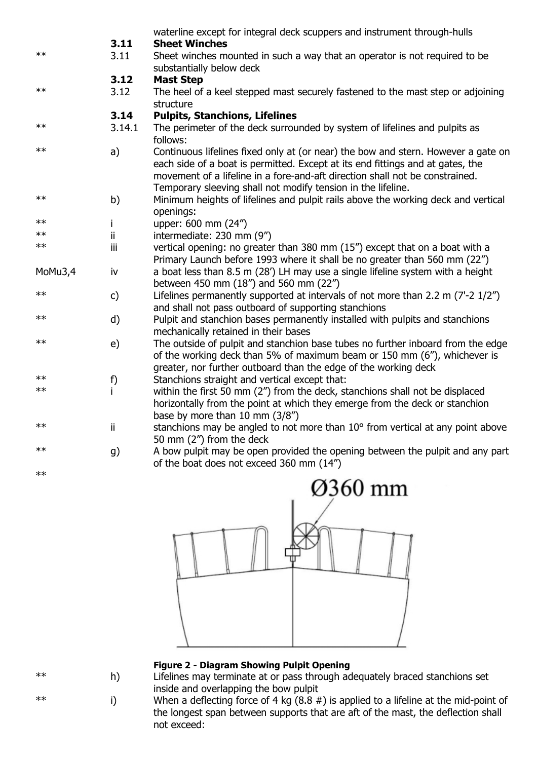|            |        | waterline except for integral deck scuppers and instrument through-hulls                                                                                                                                                                                                                                            |
|------------|--------|---------------------------------------------------------------------------------------------------------------------------------------------------------------------------------------------------------------------------------------------------------------------------------------------------------------------|
|            | 3.11   | <b>Sheet Winches</b>                                                                                                                                                                                                                                                                                                |
| $**$       | 3.11   | Sheet winches mounted in such a way that an operator is not required to be<br>substantially below deck                                                                                                                                                                                                              |
|            | 3.12   | <b>Mast Step</b>                                                                                                                                                                                                                                                                                                    |
| $**$       | 3.12   | The heel of a keel stepped mast securely fastened to the mast step or adjoining<br>structure                                                                                                                                                                                                                        |
|            | 3.14   | <b>Pulpits, Stanchions, Lifelines</b>                                                                                                                                                                                                                                                                               |
| $***$      | 3.14.1 | The perimeter of the deck surrounded by system of lifelines and pulpits as<br>follows:                                                                                                                                                                                                                              |
| $**$       | a)     | Continuous lifelines fixed only at (or near) the bow and stern. However a gate on<br>each side of a boat is permitted. Except at its end fittings and at gates, the<br>movement of a lifeline in a fore-and-aft direction shall not be constrained.<br>Temporary sleeving shall not modify tension in the lifeline. |
| $**$       | b)     | Minimum heights of lifelines and pulpit rails above the working deck and vertical<br>openings:                                                                                                                                                                                                                      |
| $**$       | i.     | upper: 600 mm (24")                                                                                                                                                                                                                                                                                                 |
| $**$       | ii.    | intermediate: 230 mm (9")                                                                                                                                                                                                                                                                                           |
| $**$       | Ϊİ     | vertical opening: no greater than 380 mm (15") except that on a boat with a<br>Primary Launch before 1993 where it shall be no greater than 560 mm (22")                                                                                                                                                            |
| MoMu3,4    | iv     | a boat less than 8.5 m (28') LH may use a single lifeline system with a height<br>between 450 mm (18") and 560 mm (22")                                                                                                                                                                                             |
| $**$       | c)     | Lifelines permanently supported at intervals of not more than 2.2 m (7'-2 1/2")<br>and shall not pass outboard of supporting stanchions                                                                                                                                                                             |
| $**$       | d)     | Pulpit and stanchion bases permanently installed with pulpits and stanchions<br>mechanically retained in their bases                                                                                                                                                                                                |
| $**$       | e)     | The outside of pulpit and stanchion base tubes no further inboard from the edge<br>of the working deck than 5% of maximum beam or 150 mm (6"), whichever is<br>greater, nor further outboard than the edge of the working deck                                                                                      |
| $***$      | f)     | Stanchions straight and vertical except that:                                                                                                                                                                                                                                                                       |
| $\ast\ast$ | i.     | within the first 50 mm (2") from the deck, stanchions shall not be displaced<br>horizontally from the point at which they emerge from the deck or stanchion<br>base by more than 10 mm (3/8")                                                                                                                       |
| $***$      | ii.    | stanchions may be angled to not more than 10° from vertical at any point above<br>50 mm (2") from the deck                                                                                                                                                                                                          |
| $**$       | g)     | A bow pulpit may be open provided the opening between the pulpit and any part<br>of the boat does not exceed 360 mm (14")                                                                                                                                                                                           |
| $**$       |        |                                                                                                                                                                                                                                                                                                                     |



### **Figure 2 - Diagram Showing Pulpit Opening**

\*\* h) Lifelines may terminate at or pass through adequately braced stanchions set inside and overlapping the bow pulpit

 $**$  i) When a deflecting force of 4 kg  $(8.8 \#)$  is applied to a lifeline at the mid-point of the longest span between supports that are aft of the mast, the deflection shall not exceed: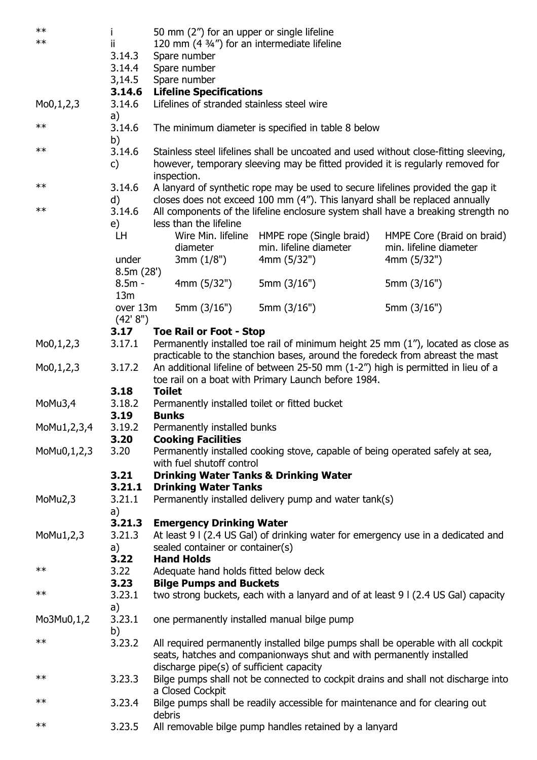| $***$                    |                |               | 50 mm (2") for an upper or single lifeline         |                                                                                  |                                                                                      |  |  |
|--------------------------|----------------|---------------|----------------------------------------------------|----------------------------------------------------------------------------------|--------------------------------------------------------------------------------------|--|--|
| $**$                     | ij.            |               |                                                    | 120 mm (4 3/4") for an intermediate lifeline                                     |                                                                                      |  |  |
|                          | 3.14.3         | Spare number  |                                                    |                                                                                  |                                                                                      |  |  |
|                          | 3.14.4         | Spare number  |                                                    |                                                                                  |                                                                                      |  |  |
|                          | 3,14.5         |               | Spare number                                       |                                                                                  |                                                                                      |  |  |
|                          | 3.14.6         |               | <b>Lifeline Specifications</b>                     |                                                                                  |                                                                                      |  |  |
| M <sub>0</sub> , 1, 2, 3 | 3.14.6         |               | Lifelines of stranded stainless steel wire         |                                                                                  |                                                                                      |  |  |
|                          | a)             |               |                                                    |                                                                                  |                                                                                      |  |  |
| $**$                     | 3.14.6         |               | The minimum diameter is specified in table 8 below |                                                                                  |                                                                                      |  |  |
|                          | b)             |               |                                                    |                                                                                  |                                                                                      |  |  |
| $***$                    | 3.14.6         |               |                                                    |                                                                                  | Stainless steel lifelines shall be uncoated and used without close-fitting sleeving, |  |  |
|                          | c)             |               |                                                    | however, temporary sleeving may be fitted provided it is regularly removed for   |                                                                                      |  |  |
| $***$                    |                |               | inspection.                                        |                                                                                  |                                                                                      |  |  |
|                          | 3.14.6         |               |                                                    | A lanyard of synthetic rope may be used to secure lifelines provided the gap it  |                                                                                      |  |  |
| $***$                    | d)<br>3.14.6   |               |                                                    | closes does not exceed 100 mm (4"). This lanyard shall be replaced annually      |                                                                                      |  |  |
|                          |                |               | less than the lifeline                             |                                                                                  | All components of the lifeline enclosure system shall have a breaking strength no    |  |  |
|                          | e)<br>LH       |               |                                                    | Wire Min. lifeline HMPE rope (Single braid)                                      | HMPE Core (Braid on braid)                                                           |  |  |
|                          |                |               | diameter                                           | min. lifeline diameter                                                           | min. lifeline diameter                                                               |  |  |
|                          | under          |               | 3mm(1/8")                                          | 4mm (5/32")                                                                      | 4mm(5/32")                                                                           |  |  |
|                          | 8.5m(28')      |               |                                                    |                                                                                  |                                                                                      |  |  |
|                          | $8.5m -$       |               | 4mm (5/32")                                        | 5mm $(3/16")$                                                                    | 5mm (3/16")                                                                          |  |  |
|                          | 13m            |               |                                                    |                                                                                  |                                                                                      |  |  |
|                          | over 13m       |               | 5mm $(3/16")$                                      | 5mm $(3/16")$                                                                    | 5mm (3/16")                                                                          |  |  |
|                          | (42' 8'')      |               |                                                    |                                                                                  |                                                                                      |  |  |
|                          | 3.17           |               | <b>Toe Rail or Foot - Stop</b>                     |                                                                                  |                                                                                      |  |  |
| M <sub>0</sub> , 1, 2, 3 | 3.17.1         |               |                                                    |                                                                                  | Permanently installed toe rail of minimum height 25 mm (1"), located as close as     |  |  |
|                          |                |               |                                                    | practicable to the stanchion bases, around the foredeck from abreast the mast    |                                                                                      |  |  |
| M <sub>0</sub> , 1, 2, 3 | 3.17.2         |               |                                                    | An additional lifeline of between 25-50 mm (1-2") high is permitted in lieu of a |                                                                                      |  |  |
|                          |                |               |                                                    | toe rail on a boat with Primary Launch before 1984.                              |                                                                                      |  |  |
|                          | 3.18           | <b>Toilet</b> |                                                    |                                                                                  |                                                                                      |  |  |
| MoMu3,4                  | 3.18.2<br>3.19 | <b>Bunks</b>  |                                                    | Permanently installed toilet or fitted bucket                                    |                                                                                      |  |  |
| MoMu1,2,3,4              | 3.19.2         |               | Permanently installed bunks                        |                                                                                  |                                                                                      |  |  |
|                          | 3.20           |               | <b>Cooking Facilities</b>                          |                                                                                  |                                                                                      |  |  |
| MoMu0,1,2,3              | 3.20           |               |                                                    | Permanently installed cooking stove, capable of being operated safely at sea,    |                                                                                      |  |  |
|                          |                |               | with fuel shutoff control                          |                                                                                  |                                                                                      |  |  |
|                          | 3.21           |               |                                                    | <b>Drinking Water Tanks &amp; Drinking Water</b>                                 |                                                                                      |  |  |
|                          | 3.21.1         |               | <b>Drinking Water Tanks</b>                        |                                                                                  |                                                                                      |  |  |
| MoMu2,3                  | 3.21.1         |               |                                                    | Permanently installed delivery pump and water tank(s)                            |                                                                                      |  |  |
|                          | a)             |               |                                                    |                                                                                  |                                                                                      |  |  |
|                          | 3.21.3         |               | <b>Emergency Drinking Water</b>                    |                                                                                  |                                                                                      |  |  |
| MoMu1,2,3                | 3.21.3         |               |                                                    |                                                                                  | At least 9 I (2.4 US Gal) of drinking water for emergency use in a dedicated and     |  |  |
|                          | a)             |               | sealed container or container(s)                   |                                                                                  |                                                                                      |  |  |
|                          | 3.22           |               | <b>Hand Holds</b>                                  |                                                                                  |                                                                                      |  |  |
| $\ast\ast$               | 3.22           |               | Adequate hand holds fitted below deck              |                                                                                  |                                                                                      |  |  |
| $***$                    | 3.23           |               | <b>Bilge Pumps and Buckets</b>                     |                                                                                  |                                                                                      |  |  |
|                          | 3.23.1         |               |                                                    |                                                                                  | two strong buckets, each with a lanyard and of at least 9 I (2.4 US Gal) capacity    |  |  |
|                          | a)<br>3.23.1   |               |                                                    |                                                                                  |                                                                                      |  |  |
| Mo3Mu0,1,2               | b)             |               |                                                    | one permanently installed manual bilge pump                                      |                                                                                      |  |  |
| $***$                    | 3.23.2         |               |                                                    |                                                                                  | All required permanently installed bilge pumps shall be operable with all cockpit    |  |  |
|                          |                |               |                                                    | seats, hatches and companionways shut and with permanently installed             |                                                                                      |  |  |
|                          |                |               | discharge pipe(s) of sufficient capacity           |                                                                                  |                                                                                      |  |  |
| $\ast\ast$               | 3.23.3         |               |                                                    |                                                                                  | Bilge pumps shall not be connected to cockpit drains and shall not discharge into    |  |  |
|                          |                |               | a Closed Cockpit                                   |                                                                                  |                                                                                      |  |  |
| $***$                    | 3.23.4         |               |                                                    | Bilge pumps shall be readily accessible for maintenance and for clearing out     |                                                                                      |  |  |
|                          |                | debris        |                                                    |                                                                                  |                                                                                      |  |  |
| $***$                    | 3.23.5         |               |                                                    | All removable bilge pump handles retained by a lanyard                           |                                                                                      |  |  |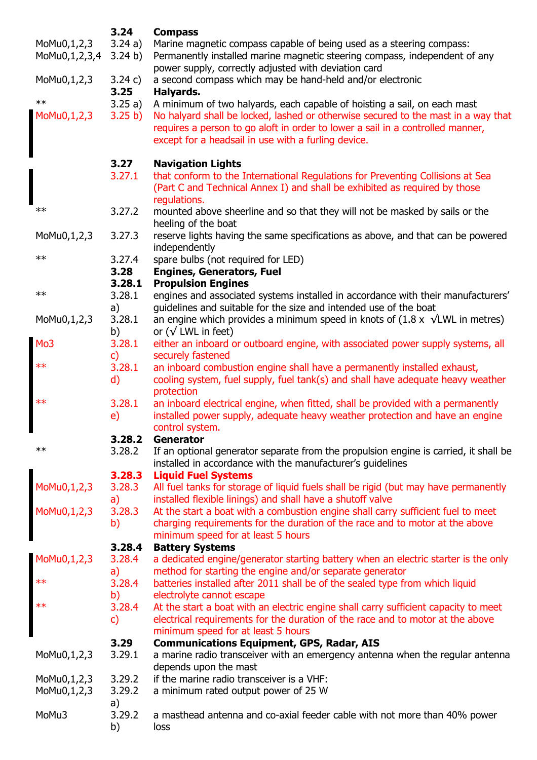|                              | 3.24                   | <b>Compass</b>                                                                                                                                                                                                             |
|------------------------------|------------------------|----------------------------------------------------------------------------------------------------------------------------------------------------------------------------------------------------------------------------|
| MoMu0,1,2,3<br>MoMu0,1,2,3,4 | 3.24a)<br>3.24 b)      | Marine magnetic compass capable of being used as a steering compass:<br>Permanently installed marine magnetic steering compass, independent of any<br>power supply, correctly adjusted with deviation card                 |
| MoMu0,1,2,3                  | 3.24 c)<br>3.25        | a second compass which may be hand-held and/or electronic<br>Halyards.                                                                                                                                                     |
| $***$                        | 3.25a)                 | A minimum of two halyards, each capable of hoisting a sail, on each mast                                                                                                                                                   |
| MoMu0,1,2,3                  | 3.25 b)                | No halyard shall be locked, lashed or otherwise secured to the mast in a way that<br>requires a person to go aloft in order to lower a sail in a controlled manner,<br>except for a headsail in use with a furling device. |
|                              | 3.27                   | <b>Navigation Lights</b>                                                                                                                                                                                                   |
|                              | 3.27.1                 | that conform to the International Regulations for Preventing Collisions at Sea<br>(Part C and Technical Annex I) and shall be exhibited as required by those<br>regulations.                                               |
| $**$                         | 3.27.2                 | mounted above sheerline and so that they will not be masked by sails or the<br>heeling of the boat                                                                                                                         |
| MoMu0,1,2,3                  | 3.27.3                 | reserve lights having the same specifications as above, and that can be powered<br>independently                                                                                                                           |
| $\ast\ast$                   | 3.27.4<br>3.28         | spare bulbs (not required for LED)<br><b>Engines, Generators, Fuel</b>                                                                                                                                                     |
|                              | 3.28.1                 | <b>Propulsion Engines</b>                                                                                                                                                                                                  |
| $\ast\ast$                   | 3.28.1                 | engines and associated systems installed in accordance with their manufacturers'                                                                                                                                           |
| MoMu0,1,2,3                  | a)<br>3.28.1<br>b)     | guidelines and suitable for the size and intended use of the boat<br>an engine which provides a minimum speed in knots of $(1.8 \times \sqrt{LWL})$ in metres)<br>or $(\sqrt{LWL}$ in feet)                                |
| Mo <sub>3</sub>              | 3.28.1                 | either an inboard or outboard engine, with associated power supply systems, all                                                                                                                                            |
|                              | $\mathsf{c}$           | securely fastened                                                                                                                                                                                                          |
| $**$                         | 3.28.1<br>$\mathsf{d}$ | an inboard combustion engine shall have a permanently installed exhaust,<br>cooling system, fuel supply, fuel tank(s) and shall have adequate heavy weather<br>protection                                                  |
| $**$                         | 3.28.1                 | an inboard electrical engine, when fitted, shall be provided with a permanently                                                                                                                                            |
|                              | e)                     | installed power supply, adequate heavy weather protection and have an engine<br>control system.                                                                                                                            |
|                              | 3.28.2                 | Generator                                                                                                                                                                                                                  |
| $**$                         | 3.28.2                 | If an optional generator separate from the propulsion engine is carried, it shall be<br>installed in accordance with the manufacturer's guidelines                                                                         |
|                              | 3.28.3                 | <b>Liquid Fuel Systems</b>                                                                                                                                                                                                 |
| $M_0M_0, 1, 2, 3$            | 3.28.3<br>a)           | All fuel tanks for storage of liquid fuels shall be rigid (but may have permanently<br>installed flexible linings) and shall have a shutoff valve                                                                          |
| MoMu0,1,2,3                  | 3.28.3                 | At the start a boat with a combustion engine shall carry sufficient fuel to meet                                                                                                                                           |
|                              | b)                     | charging requirements for the duration of the race and to motor at the above<br>minimum speed for at least 5 hours                                                                                                         |
|                              | 3.28.4                 | <b>Battery Systems</b>                                                                                                                                                                                                     |
| MoMu0,1,2,3                  | 3.28.4                 | a dedicated engine/generator starting battery when an electric starter is the only                                                                                                                                         |
|                              | a)                     | method for starting the engine and/or separate generator                                                                                                                                                                   |
| $**$                         | 3.28.4<br>b)           | batteries installed after 2011 shall be of the sealed type from which liquid<br>electrolyte cannot escape                                                                                                                  |
| $**$                         | 3.28.4                 | At the start a boat with an electric engine shall carry sufficient capacity to meet                                                                                                                                        |
|                              | $\mathsf{C}$           | electrical requirements for the duration of the race and to motor at the above<br>minimum speed for at least 5 hours                                                                                                       |
|                              | 3.29                   | <b>Communications Equipment, GPS, Radar, AIS</b>                                                                                                                                                                           |
| MoMu0,1,2,3                  | 3.29.1                 | a marine radio transceiver with an emergency antenna when the regular antenna<br>depends upon the mast                                                                                                                     |
| MoMu0,1,2,3                  | 3.29.2                 | if the marine radio transceiver is a VHF:                                                                                                                                                                                  |
| MoMu0,1,2,3                  | 3.29.2                 | a minimum rated output power of 25 W                                                                                                                                                                                       |
| MoMu3                        | a)<br>3.29.2<br>b)     | a masthead antenna and co-axial feeder cable with not more than 40% power<br>loss                                                                                                                                          |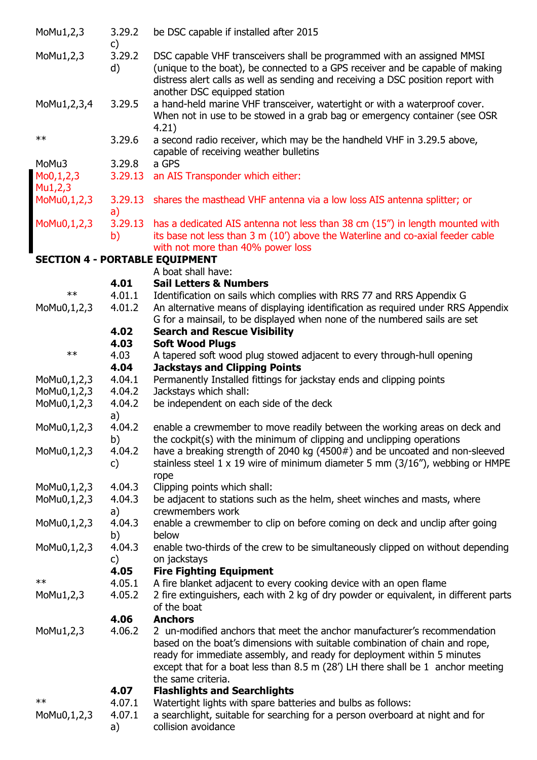| MoMu1,2,3                             | 3.29.2<br>$\mathsf{c}$ | be DSC capable if installed after 2015                                                                                                                                                                                                                                                                                  |
|---------------------------------------|------------------------|-------------------------------------------------------------------------------------------------------------------------------------------------------------------------------------------------------------------------------------------------------------------------------------------------------------------------|
| MoMu1,2,3                             | 3.29.2<br>d)           | DSC capable VHF transceivers shall be programmed with an assigned MMSI<br>(unique to the boat), be connected to a GPS receiver and be capable of making<br>distress alert calls as well as sending and receiving a DSC position report with<br>another DSC equipped station                                             |
| MoMu1,2,3,4                           | 3.29.5                 | a hand-held marine VHF transceiver, watertight or with a waterproof cover.<br>When not in use to be stowed in a grab bag or emergency container (see OSR<br>4.21)                                                                                                                                                       |
| $\ast\ast$                            | 3.29.6                 | a second radio receiver, which may be the handheld VHF in 3.29.5 above,<br>capable of receiving weather bulletins                                                                                                                                                                                                       |
| MoMu3                                 | 3.29.8                 | a GPS                                                                                                                                                                                                                                                                                                                   |
| M <sub>0</sub> , 1, 2, 3<br>Mu1,2,3   | 3.29.13                | an AIS Transponder which either:                                                                                                                                                                                                                                                                                        |
| MoMu0,1,2,3                           | 3.29.13<br>a)          | shares the masthead VHF antenna via a low loss AIS antenna splitter; or                                                                                                                                                                                                                                                 |
| MoMu0,1,2,3                           | 3.29.13                | has a dedicated AIS antenna not less than 38 cm (15") in length mounted with                                                                                                                                                                                                                                            |
|                                       | b)                     | its base not less than 3 m (10') above the Waterline and co-axial feeder cable                                                                                                                                                                                                                                          |
|                                       |                        | with not more than 40% power loss                                                                                                                                                                                                                                                                                       |
| <b>SECTION 4 - PORTABLE EQUIPMENT</b> |                        |                                                                                                                                                                                                                                                                                                                         |
|                                       |                        | A boat shall have:                                                                                                                                                                                                                                                                                                      |
|                                       | 4.01                   | <b>Sail Letters &amp; Numbers</b>                                                                                                                                                                                                                                                                                       |
| $***$                                 | 4.01.1                 | Identification on sails which complies with RRS 77 and RRS Appendix G                                                                                                                                                                                                                                                   |
| MoMu0,1,2,3                           | 4.01.2                 | An alternative means of displaying identification as required under RRS Appendix                                                                                                                                                                                                                                        |
|                                       | 4.02                   | G for a mainsail, to be displayed when none of the numbered sails are set<br><b>Search and Rescue Visibility</b>                                                                                                                                                                                                        |
|                                       | 4.03                   | <b>Soft Wood Plugs</b>                                                                                                                                                                                                                                                                                                  |
| $**$                                  | 4.03                   | A tapered soft wood plug stowed adjacent to every through-hull opening                                                                                                                                                                                                                                                  |
|                                       | 4.04                   | <b>Jackstays and Clipping Points</b>                                                                                                                                                                                                                                                                                    |
| MoMu0,1,2,3                           | 4.04.1                 | Permanently Installed fittings for jackstay ends and clipping points                                                                                                                                                                                                                                                    |
| MoMu0,1,2,3                           | 4.04.2                 | Jackstays which shall:                                                                                                                                                                                                                                                                                                  |
| MoMu0,1,2,3                           | 4.04.2                 | be independent on each side of the deck                                                                                                                                                                                                                                                                                 |
|                                       | a)                     |                                                                                                                                                                                                                                                                                                                         |
| MoMu0,1,2,3                           | 4.04.2                 | enable a crewmember to move readily between the working areas on deck and                                                                                                                                                                                                                                               |
|                                       | b)                     | the cockpit(s) with the minimum of clipping and unclipping operations                                                                                                                                                                                                                                                   |
| MoMu0,1,2,3                           | 4.04.2                 | have a breaking strength of 2040 kg (4500#) and be uncoated and non-sleeved                                                                                                                                                                                                                                             |
|                                       | $\mathsf{c}$           | stainless steel 1 x 19 wire of minimum diameter 5 mm $(3/16'')$ , webbing or HMPE<br>rope                                                                                                                                                                                                                               |
| MoMu0,1,2,3                           | 4.04.3                 | Clipping points which shall:                                                                                                                                                                                                                                                                                            |
| MoMu0,1,2,3                           | 4.04.3                 | be adjacent to stations such as the helm, sheet winches and masts, where                                                                                                                                                                                                                                                |
|                                       | a)                     | crewmembers work                                                                                                                                                                                                                                                                                                        |
| MoMu0,1,2,3                           | 4.04.3<br>b)           | enable a crewmember to clip on before coming on deck and unclip after going<br>below                                                                                                                                                                                                                                    |
| MoMu0,1,2,3                           | 4.04.3                 | enable two-thirds of the crew to be simultaneously clipped on without depending                                                                                                                                                                                                                                         |
|                                       | c)                     | on jackstays                                                                                                                                                                                                                                                                                                            |
|                                       | 4.05                   | <b>Fire Fighting Equipment</b>                                                                                                                                                                                                                                                                                          |
| $\ast\ast$                            | 4.05.1                 | A fire blanket adjacent to every cooking device with an open flame                                                                                                                                                                                                                                                      |
| MoMu1,2,3                             | 4.05.2                 | 2 fire extinguishers, each with 2 kg of dry powder or equivalent, in different parts<br>of the boat                                                                                                                                                                                                                     |
|                                       | 4.06                   | <b>Anchors</b>                                                                                                                                                                                                                                                                                                          |
| MoMu1,2,3                             | 4.06.2                 | 2 un-modified anchors that meet the anchor manufacturer's recommendation<br>based on the boat's dimensions with suitable combination of chain and rope,<br>ready for immediate assembly, and ready for deployment within 5 minutes<br>except that for a boat less than 8.5 m $(28')$ LH there shall be 1 anchor meeting |
|                                       |                        | the same criteria.                                                                                                                                                                                                                                                                                                      |
|                                       | 4.07                   | <b>Flashlights and Searchlights</b>                                                                                                                                                                                                                                                                                     |
| $\ast\ast$                            | 4.07.1                 | Watertight lights with spare batteries and bulbs as follows:                                                                                                                                                                                                                                                            |
| MoMu0,1,2,3                           | 4.07.1<br>a)           | a searchlight, suitable for searching for a person overboard at night and for<br>collision avoidance                                                                                                                                                                                                                    |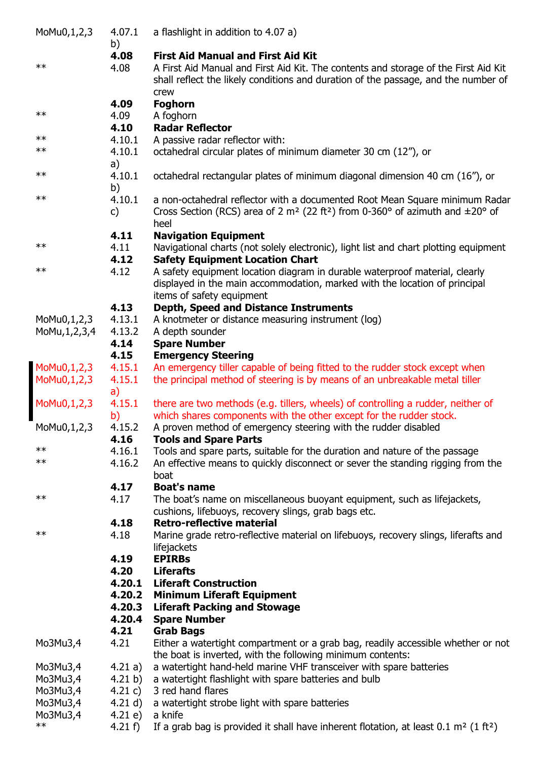| MoMu0,1,2,3      | 4.07.1<br>b) | a flashlight in addition to 4.07 a)                                                                         |
|------------------|--------------|-------------------------------------------------------------------------------------------------------------|
|                  | 4.08         | <b>First Aid Manual and First Aid Kit</b>                                                                   |
| $***$            | 4.08         | A First Aid Manual and First Aid Kit. The contents and storage of the First Aid Kit                         |
|                  |              | shall reflect the likely conditions and duration of the passage, and the number of<br>crew                  |
|                  | 4.09         | <b>Foghorn</b>                                                                                              |
| $\ast\ast$       | 4.09         | A foghorn                                                                                                   |
|                  | 4.10         | <b>Radar Reflector</b>                                                                                      |
| $\ast\ast$       | 4.10.1       | A passive radar reflector with:                                                                             |
| $\ast\ast$       | 4.10.1       | octahedral circular plates of minimum diameter 30 cm (12"), or                                              |
|                  | a)           |                                                                                                             |
| $\ast\ast$       | 4.10.1       | octahedral rectangular plates of minimum diagonal dimension 40 cm (16"), or                                 |
|                  | b)           |                                                                                                             |
| $\ast\ast$       | 4.10.1       | a non-octahedral reflector with a documented Root Mean Square minimum Radar                                 |
|                  | C)           | Cross Section (RCS) area of 2 m <sup>2</sup> (22 ft <sup>2</sup> ) from 0-360° of azimuth and $\pm 20$ ° of |
|                  |              | heel                                                                                                        |
|                  | 4.11         | <b>Navigation Equipment</b>                                                                                 |
| $\ast\ast$       | 4.11         | Navigational charts (not solely electronic), light list and chart plotting equipment                        |
|                  | 4.12         | <b>Safety Equipment Location Chart</b>                                                                      |
| $\ast\ast$       | 4.12         | A safety equipment location diagram in durable waterproof material, clearly                                 |
|                  |              | displayed in the main accommodation, marked with the location of principal                                  |
|                  |              | items of safety equipment                                                                                   |
|                  | 4.13         | <b>Depth, Speed and Distance Instruments</b>                                                                |
| MoMu0,1,2,3      | 4.13.1       | A knotmeter or distance measuring instrument (log)                                                          |
| MoMu, 1, 2, 3, 4 | 4.13.2       | A depth sounder                                                                                             |
|                  | 4.14         | <b>Spare Number</b>                                                                                         |
|                  | 4.15         | <b>Emergency Steering</b>                                                                                   |
| MoMu0,1,2,3      | 4.15.1       | An emergency tiller capable of being fitted to the rudder stock except when                                 |
| MoMu0,1,2,3      | 4.15.1       | the principal method of steering is by means of an unbreakable metal tiller                                 |
|                  | a)           |                                                                                                             |
| MoMu0,1,2,3      | 4.15.1       | there are two methods (e.g. tillers, wheels) of controlling a rudder, neither of                            |
|                  | b)           | which shares components with the other except for the rudder stock.                                         |
| MoMu0,1,2,3      | 4.15.2       | A proven method of emergency steering with the rudder disabled                                              |
|                  | 4.16         | <b>Tools and Spare Parts</b>                                                                                |
| $***$            | 4.16.1       | Tools and spare parts, suitable for the duration and nature of the passage                                  |
| $***$            | 4.16.2       | An effective means to quickly disconnect or sever the standing rigging from the                             |
|                  |              | boat                                                                                                        |
|                  | 4.17         | <b>Boat's name</b>                                                                                          |
| $***$            | 4.17         | The boat's name on miscellaneous buoyant equipment, such as lifejackets,                                    |
|                  |              | cushions, lifebuoys, recovery slings, grab bags etc.                                                        |
|                  | 4.18         | <b>Retro-reflective material</b>                                                                            |
| $***$            | 4.18         | Marine grade retro-reflective material on lifebuoys, recovery slings, liferafts and                         |
|                  |              | lifejackets                                                                                                 |
|                  | 4.19         | <b>EPIRBs</b>                                                                                               |
|                  | 4.20         | <b>Liferafts</b>                                                                                            |
|                  | 4.20.1       | <b>Liferaft Construction</b>                                                                                |
|                  | 4.20.2       | <b>Minimum Liferaft Equipment</b>                                                                           |
|                  | 4.20.3       | <b>Liferaft Packing and Stowage</b>                                                                         |
|                  | 4.20.4       | <b>Spare Number</b>                                                                                         |
|                  | 4.21         | <b>Grab Bags</b>                                                                                            |
| Mo3Mu3,4         | 4.21         | Either a watertight compartment or a grab bag, readily accessible whether or not                            |
|                  |              | the boat is inverted, with the following minimum contents:                                                  |
| Mo3Mu3,4         | 4.21 a)      | a watertight hand-held marine VHF transceiver with spare batteries                                          |
| Mo3Mu3,4         | 4.21 $b)$    | a watertight flashlight with spare batteries and bulb                                                       |
| Mo3Mu3,4         | 4.21 $c)$    | 3 red hand flares                                                                                           |
| Mo3Mu3,4         | 4.21 $d)$    | a watertight strobe light with spare batteries                                                              |
| Mo3Mu3,4         | 4.21 e)      | a knife                                                                                                     |
| $**$             | 4.21 $f$ )   | If a grab bag is provided it shall have inherent flotation, at least $0.1 \text{ m}^2$ (1 ft <sup>2</sup> ) |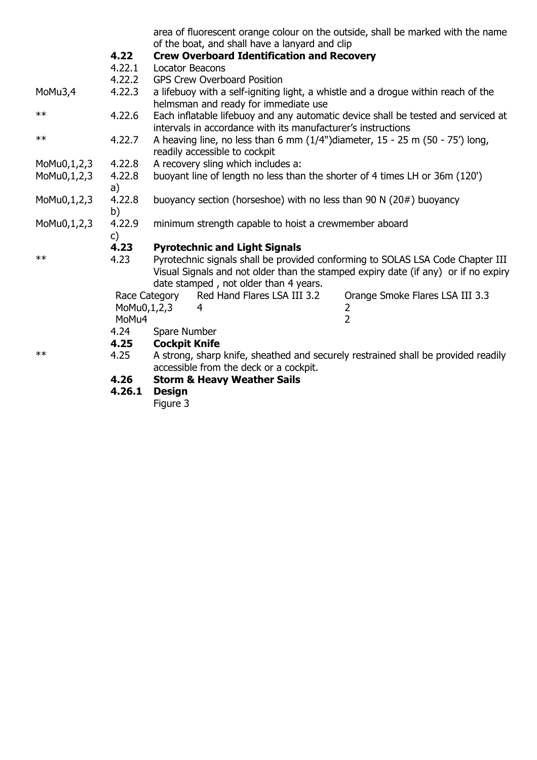|             |                      |                      | of the boat, and shall have a lanyard and clip                       | area of fluorescent orange colour on the outside, shall be marked with the name                                                                                      |
|-------------|----------------------|----------------------|----------------------------------------------------------------------|----------------------------------------------------------------------------------------------------------------------------------------------------------------------|
|             | 4.22                 |                      | <b>Crew Overboard Identification and Recovery</b>                    |                                                                                                                                                                      |
|             | 4.22.1               |                      | <b>Locator Beacons</b>                                               |                                                                                                                                                                      |
|             | 4.22.2               |                      | <b>GPS Crew Overboard Position</b>                                   |                                                                                                                                                                      |
| MoMu3,4     | 4.22.3               |                      | helmsman and ready for immediate use                                 | a lifebuoy with a self-igniting light, a whistle and a drogue within reach of the                                                                                    |
| $**$        | 4.22.6               |                      | intervals in accordance with its manufacturer's instructions         | Each inflatable lifebuoy and any automatic device shall be tested and serviced at                                                                                    |
| $**$        | 4.22.7               |                      | readily accessible to cockpit                                        | A heaving line, no less than 6 mm $(1/4")$ diameter, 15 - 25 m $(50 - 75')$ long,                                                                                    |
| MoMu0,1,2,3 | 4.22.8               |                      | A recovery sling which includes a:                                   |                                                                                                                                                                      |
| MoMu0,1,2,3 | 4.22.8<br>a)         |                      |                                                                      | buoyant line of length no less than the shorter of 4 times LH or 36m (120')                                                                                          |
| MoMu0,1,2,3 | 4.22.8<br>b)         |                      | buoyancy section (horseshoe) with no less than 90 N $(20#)$ buoyancy |                                                                                                                                                                      |
| MoMu0,1,2,3 | 4.22.9<br>c)         |                      | minimum strength capable to hoist a crewmember aboard                |                                                                                                                                                                      |
|             | 4.23                 |                      | <b>Pyrotechnic and Light Signals</b>                                 |                                                                                                                                                                      |
| $**$        | 4.23                 |                      |                                                                      | Pyrotechnic signals shall be provided conforming to SOLAS LSA Code Chapter III<br>Visual Signals and not older than the stamped expiry date (if any) or if no expiry |
|             |                      |                      | date stamped, not older than 4 years.                                |                                                                                                                                                                      |
|             |                      | Race Category        | Red Hand Flares LSA III 3.2                                          | Orange Smoke Flares LSA III 3.3                                                                                                                                      |
|             | MoMu0,1,2,3<br>MoMu4 |                      | 4                                                                    | 2<br>$\overline{2}$                                                                                                                                                  |
|             | 4.24                 | Spare Number         |                                                                      |                                                                                                                                                                      |
|             | 4.25                 | <b>Cockpit Knife</b> |                                                                      |                                                                                                                                                                      |
| $\ast\ast$  | 4.25                 |                      | accessible from the deck or a cockpit.                               | A strong, sharp knife, sheathed and securely restrained shall be provided readily                                                                                    |
|             | 4.26                 |                      | <b>Storm &amp; Heavy Weather Sails</b>                               |                                                                                                                                                                      |
|             |                      |                      |                                                                      |                                                                                                                                                                      |

**4.26.1 Design**

**Figure 3 Figure 3**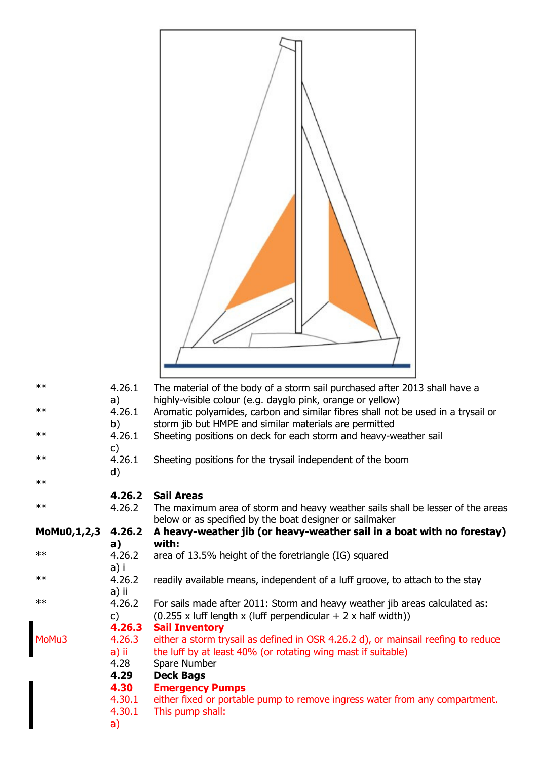| $\ast\ast$         | 4.26.1           | The material of the body of a storm sail purchased after 2013 shall have a                                                                 |
|--------------------|------------------|--------------------------------------------------------------------------------------------------------------------------------------------|
|                    | a)               | highly-visible colour (e.g. dayglo pink, orange or yellow)                                                                                 |
| $\ast\ast$         | 4.26.1<br>b)     | Aromatic polyamides, carbon and similar fibres shall not be used in a trysail or<br>storm jib but HMPE and similar materials are permitted |
| $\ast\ast$         | 4.26.1           | Sheeting positions on deck for each storm and heavy-weather sail                                                                           |
| $\ast\ast$         | C)<br>4.26.1     | Sheeting positions for the trysail independent of the boom                                                                                 |
| $\ast\ast$         | d)               |                                                                                                                                            |
|                    | 4.26.2           | <b>Sail Areas</b>                                                                                                                          |
| $\ast\ast$         | 4.26.2           | The maximum area of storm and heavy weather sails shall be lesser of the areas                                                             |
| <b>MoMu0,1,2,3</b> | 4.26.2           | below or as specified by the boat designer or sailmaker<br>A heavy-weather jib (or heavy-weather sail in a boat with no forestay)          |
| $\ast\ast$         | a)<br>4.26.2     | with:<br>area of 13.5% height of the foretriangle (IG) squared                                                                             |
|                    | a) i             |                                                                                                                                            |
| $\ast\ast$         | 4.26.2<br>a) ii  | readily available means, independent of a luff groove, to attach to the stay                                                               |
| $\ast\ast$         | 4.26.2           | For sails made after 2011: Storm and heavy weather jib areas calculated as:                                                                |
|                    | C)<br>4.26.3     | $(0.255 \times$ luff length x (luff perpendicular + 2 x half width))<br><b>Sail Inventory</b>                                              |
| MoMu3              | 4.26.3           | either a storm trysail as defined in OSR 4.26.2 d), or mainsail reefing to reduce                                                          |
|                    | a) ii<br>4.28    | the luff by at least 40% (or rotating wing mast if suitable)<br>Spare Number                                                               |
|                    | 4.29             | <b>Deck Bags</b>                                                                                                                           |
|                    | 4.30             | <b>Emergency Pumps</b>                                                                                                                     |
|                    | 4.30.1<br>4.30.1 | either fixed or portable pump to remove ingress water from any compartment.<br>This pump shall:                                            |
|                    | a)               |                                                                                                                                            |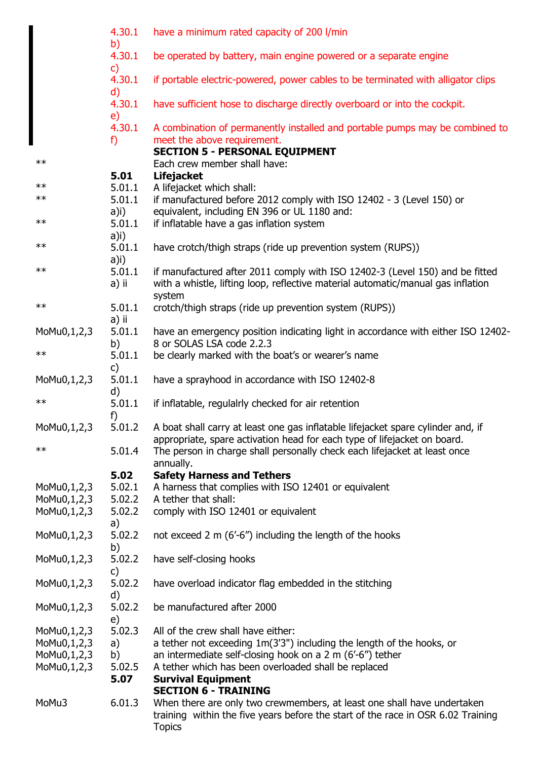|             | 4.30.1<br>b)           | have a minimum rated capacity of 200 l/min                                                 |
|-------------|------------------------|--------------------------------------------------------------------------------------------|
|             | 4.30.1<br>$\mathsf{c}$ | be operated by battery, main engine powered or a separate engine                           |
|             | 4.30.1                 | if portable electric-powered, power cables to be terminated with alligator clips           |
|             | $\mathsf{d}$<br>4.30.1 | have sufficient hose to discharge directly overboard or into the cockpit.                  |
|             | e)<br>4.30.1           | A combination of permanently installed and portable pumps may be combined to               |
|             | f)                     | meet the above requirement.<br><b>SECTION 5 - PERSONAL EQUIPMENT</b>                       |
| $\ast\ast$  |                        | Each crew member shall have:                                                               |
|             | 5.01                   | <b>Lifejacket</b>                                                                          |
| $\ast\ast$  | 5.01.1                 | A lifejacket which shall:                                                                  |
| $***$       | 5.01.1                 | if manufactured before 2012 comply with ISO 12402 - 3 (Level 150) or                       |
|             | a)i)                   | equivalent, including EN 396 or UL 1180 and:                                               |
| $\ast\ast$  | 5.01.1                 | if inflatable have a gas inflation system                                                  |
|             | a)i)                   |                                                                                            |
| $\ast\ast$  | 5.01.1                 | have crotch/thigh straps (ride up prevention system (RUPS))                                |
|             | $a)$ i)                |                                                                                            |
| $\ast\ast$  | 5.01.1                 | if manufactured after 2011 comply with ISO 12402-3 (Level 150) and be fitted               |
|             | a) ii                  | with a whistle, lifting loop, reflective material automatic/manual gas inflation<br>system |
| $\ast\ast$  | 5.01.1                 | crotch/thigh straps (ride up prevention system (RUPS))                                     |
|             | a) ii                  |                                                                                            |
| MoMu0,1,2,3 | 5.01.1                 | have an emergency position indicating light in accordance with either ISO 12402-           |
|             | b)                     | 8 or SOLAS LSA code 2.2.3                                                                  |
| $\ast\ast$  | 5.01.1                 | be clearly marked with the boat's or wearer's name                                         |
|             | c)                     |                                                                                            |
| MoMu0,1,2,3 | 5.01.1<br>d)           | have a sprayhood in accordance with ISO 12402-8                                            |
| $**$        | 5.01.1<br>f)           | if inflatable, regulalrly checked for air retention                                        |
| MoMu0,1,2,3 | 5.01.2                 | A boat shall carry at least one gas inflatable lifejacket spare cylinder and, if           |
|             |                        | appropriate, spare activation head for each type of lifejacket on board.                   |
| $***$       | 5.01.4                 | The person in charge shall personally check each lifejacket at least once<br>annually.     |
|             | 5.02                   | <b>Safety Harness and Tethers</b>                                                          |
| MoMu0,1,2,3 | 5.02.1                 | A harness that complies with ISO 12401 or equivalent                                       |
| MoMu0,1,2,3 | 5.02.2                 | A tether that shall:                                                                       |
| MoMu0,1,2,3 | 5.02.2                 | comply with ISO 12401 or equivalent                                                        |
|             | a)                     |                                                                                            |
| MoMu0,1,2,3 | 5.02.2                 | not exceed 2 m (6'-6") including the length of the hooks                                   |
|             | b)                     |                                                                                            |
| MoMu0,1,2,3 | 5.02.2                 | have self-closing hooks                                                                    |
|             | c)                     |                                                                                            |
| MoMu0,1,2,3 | 5.02.2                 | have overload indicator flag embedded in the stitching                                     |
|             | d)                     |                                                                                            |
| MoMu0,1,2,3 | 5.02.2                 | be manufactured after 2000                                                                 |
|             | e)                     |                                                                                            |
| MoMu0,1,2,3 | 5.02.3                 | All of the crew shall have either:                                                         |
| MoMu0,1,2,3 | a)                     | a tether not exceeding 1m(3'3") including the length of the hooks, or                      |
| MoMu0,1,2,3 | b)                     | an intermediate self-closing hook on a $2 \text{ m}$ (6'-6") tether                        |
| MoMu0,1,2,3 | 5.02.5                 | A tether which has been overloaded shall be replaced                                       |
|             | 5.07                   | <b>Survival Equipment</b>                                                                  |
|             |                        | <b>SECTION 6 - TRAINING</b>                                                                |
| MoMu3       | 6.01.3                 | When there are only two crewmembers, at least one shall have undertaken                    |
|             |                        | training within the five years before the start of the race in OSR 6.02 Training           |
|             |                        | <b>Topics</b>                                                                              |